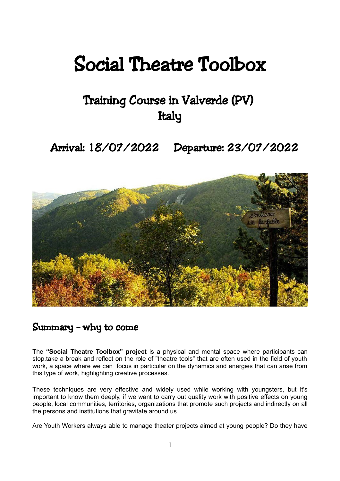# Social Theatre Toolbox

## Training Course in Valverde (PV) Italy

Arrival: 18/07/2022 Departure: 23/07/2022



#### Summary – why to come

The **"Social Theatre Toolbox" project** is a physical and mental space where participants can stop,take a break and reflect on the role of "theatre tools" that are often used in the field of youth work, a space where we can focus in particular on the dynamics and energies that can arise from this type of work, highlighting creative processes.

These techniques are very effective and widely used while working with youngsters, but it's important to know them deeply, if we want to carry out quality work with positive effects on young people, local communities, territories, organizations that promote such projects and indirectly on all the persons and institutions that gravitate around us.

Are Youth Workers always able to manage theater projects aimed at young people? Do they have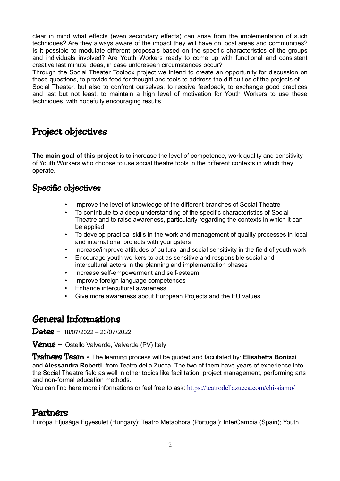clear in mind what effects (even secondary effects) can arise from the implementation of such techniques? Are they always aware of the impact they will have on local areas and communities? Is it possible to modulate different proposals based on the specific characteristics of the groups and individuals involved? Are Youth Workers ready to come up with functional and consistent creative last minute ideas, in case unforeseen circumstances occur?

Through the Social Theater Toolbox project we intend to create an opportunity for discussion on these questions, to provide food for thought and tools to address the difficulties of the projects of Social Theater, but also to confront ourselves, to receive feedback, to exchange good practices and last but not least, to maintain a high level of motivation for Youth Workers to use these techniques, with hopefully encouraging results.

## Project objectives

**The main goal of this project** is to increase the level of competence, work quality and sensitivity of Youth Workers who choose to use social theatre tools in the different contexts in which they operate.

#### Specific objectives

- Improve the level of knowledge of the different branches of Social Theatre
- To contribute to a deep understanding of the specific characteristics of Social Theatre and to raise awareness, particularly regarding the contexts in which it can be applied
- To develop practical skills in the work and management of quality processes in local and international projects with youngsters
- Increase/improve attitudes of cultural and social sensitivity in the field of youth work
- Encourage youth workers to act as sensitive and responsible social and intercultural actors in the planning and implementation phases
- Increase self-empowerment and self-esteem
- Improve foreign language competences
- Enhance intercultural awareness
- Give more awareness about European Projects and the EU values

## General Informations

Dates – 18/07/2022 – 23/07/2022

**Venue** – Ostello Valverde, Valverde (PV) Italy

Trainers Team - The learning process will be guided and facilitated by: **Elisabetta Bonizzi** and **Alessandra Roberti**, from Teatro della Zucca. The two of them have years of experience into the Social Theatre field as well in other topics like facilitation, project management, performing arts and non-formal education methods.

You can find here more informations or feel free to ask: <https://teatrodellazucca.com/chi-siamo/>

#### Partners

Euròpa Efjusàga Egyesulet (Hungary); Teatro Metaphora (Portugal); InterCambia (Spain); Youth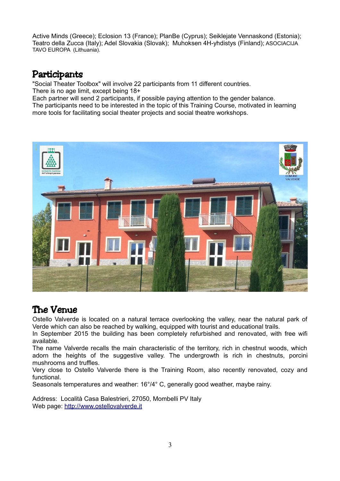Active Minds (Greece); Eclosion 13 (France); PlanBe (Cyprus); Seiklejate Vennaskond (Estonia); Teatro della Zucca (Italy); Adel Slovakia (Slovak); Muhoksen 4H-yhdistys (Finland); ASOCIACIJA TAVO EUROPA (Lithuania).

## Participants

"Social Theater Toolbox" will involve 22 participants from 11 different countries. There is no age limit, except being 18+

Each partner will send 2 participants, if possible paying attention to the gender balance. The participants need to be interested in the topic of this Training Course, motivated in learning more tools for facilitating social theater projects and social theatre workshops.



## The Venue

Ostello Valverde is located on a natural terrace overlooking the valley, near the natural park of Verde which can also be reached by walking, equipped with tourist and educational trails.

In September 2015 the building has been completely refurbished and renovated, with free wifi available.

The name Valverde recalls the main characteristic of the territory, rich in chestnut woods, which adorn the heights of the suggestive valley. The undergrowth is rich in chestnuts, porcini mushrooms and truffles.

Very close to Ostello Valverde there is the Training Room, also recently renovated, cozy and functional.

Seasonals temperatures and weather: 16°/4° C, generally good weather, maybe rainy.

Address: Località Casa Balestrieri, 27050, Mombelli PV Italy Web page: [http://www.ostellovalverde.it](http://www.ostellovalverde.it/)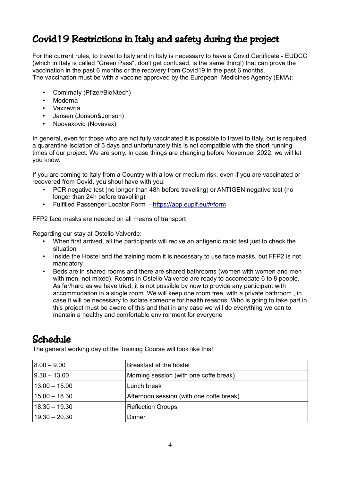## Covid19 Restrictions in Italy and safety during the project

For the current rules, to travel to Italy and in Italy is necessary to have a Covid Certificate - EUDCC (which in Italy is called "Green Pass", don't get confused, is the same thing!) that can prove the vaccination in the past 6 months or the recovery from Covid19 in the past 6 months. The vaccination must be with a vaccine approved by the European Medicines Agency (EMA):

- Comirnaty (Pfizer/BioNtech)
- Moderna
- Vaxzevria
- Jansen (Jonson&Jonson)
- Nuovaxovid (Novavax)

In general, even for those who are not fully vaccinated it is possible to travel to Italy, but is required a quarantine-isolation of 5 days and unfortunately this is not compatible with the short running times of our project. We are sorry. In case things are changing before November 2022, we will let you know.

If you are coming to Italy from a Country with a low or medium risk, even if you are vaccinated or recovered from Covid, you shoul have with you:

- PCR negative test (no longer than 48h before travelling) or ANTIGEN negative test (no longer than 24h before travelling)
- Fulfilled Passenger Locator Form -<https://app.euplf.eu/#/form>

FFP2 face masks are needed on all means of transport

Regarding our stay at Ostello Valverde:

- When first arrived, all the participants will recive an antigenic rapid test just to check the situation
- Inside the Hostel and the training room it is necessary to use face masks, but FFP2 is not mandatory
- Beds are in shared rooms and there are shared bathrooms (women with women and men with men, not mixed). Rooms in Ostello Valverde are ready to accomodate 6 to 8 people. As far/hard as we have tried, it is not possible by now to provide any participant with accommodation in a single room. We will keep one room free, with a private bathroom , in case it will be necessary to isolate someone for health reasons. Who is going to take part in this project must be aware of this and that in any case we will do everything we can to mantain a healthy and comfortable environment for everyone

## Schedule

The general working day of the Training Course will look like this!

| $ 8.00 - 9.00 $  | Breakfast at the hostel                  |
|------------------|------------------------------------------|
| $ 9.30 - 13.00 $ | Morning session (with one coffe break)   |
| $13.00 - 15.00$  | Lunch break                              |
| $15.00 - 18.30$  | Afternoon session (with one coffe break) |
| $18.30 - 19.30$  | <b>Reflection Groups</b>                 |
| $19.30 - 20.30$  | Dinner                                   |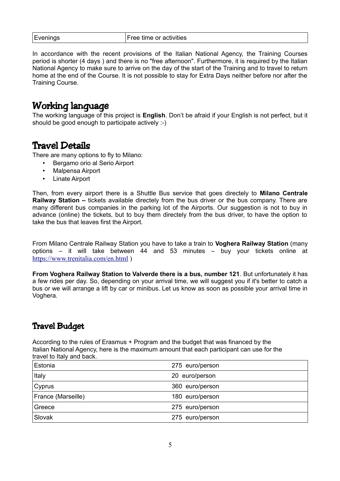| Evenings | Free time or activities |
|----------|-------------------------|
|----------|-------------------------|

In accordance with the recent provisions of the Italian National Agency, the Training Courses period is shorter (4 days ) and there is no "free afternoon". Furthermore, it is required by the Italian National Agency to make sure to arrive on the day of the start of the Training and to travel to return home at the end of the Course. It is not possible to stay for Extra Days neither before nor after the Training Course.

## Working language

The working language of this project is **English**. Don't be afraid if your English is not perfect, but it should be good enough to participate actively :-)

#### Travel Details

There are many options to fly to Milano:

- Bergamo orio al Serio Airport
- Malpensa Airport
- Linate Airport

Then, from every airport there is a Shuttle Bus service that goes directely to **Milano Centrale Railway Station –** tickets available directely from the bus driver or the bus company. There are many different bus companies in the parking lot of the Airports. Our suggestion is not to buy in advance (online) the tickets, but to buy them directely from the bus driver, to have the option to take the bus that leaves first the Airport.

From Milano Centrale Railway Station you have to take a train to **Voghera Railway Station** (many options – it will take between 44 and 53 minutes – buy your tickets online at <https://www.trenitalia.com/en.html>)

**From Voghera Railway Station to Valverde there is a bus, number 121**. But unfortunately it has a few rides per day. So, depending on your arrival time, we will suggest you if it's better to catch a bus or we will arrange a lift by car or minibus. Let us know as soon as possible your arrival time in Voghera.

#### Travel Budget

According to the rules of Erasmus + Program and the budget that was financed by the Italian National Agency, here is the maximum amount that each participant can use for the travel to Italy and back.

| Estonia            | 275 euro/person |
|--------------------|-----------------|
| Italy              | 20 euro/person  |
| $\mathsf{C}$ yprus | 360 euro/person |
| France (Marseille) | 180 euro/person |
| Greece             | 275 euro/person |
| Slovak             | 275 euro/person |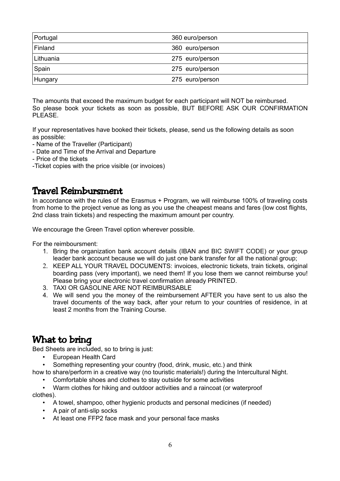| Portugal  | 360 euro/person |
|-----------|-----------------|
| Finland   | 360 euro/person |
| Lithuania | 275 euro/person |
| Spain     | 275 euro/person |
| Hungary   | 275 euro/person |

The amounts that exceed the maximum budget for each participant will NOT be reimbursed. So please book your tickets as soon as possible, BUT BEFORE ASK OUR CONFIRMATION PLEASE.

If your representatives have booked their tickets, please, send us the following details as soon as possible:

- Name of the Traveller (Participant)
- Date and Time of the Arrival and Departure
- Price of the tickets
- -Ticket copies with the price visible (or invoices)

### Travel Reimbursment

In accordance with the rules of the Erasmus + Program, we will reimburse 100% of traveling costs from home to the project venue as long as you use the cheapest means and fares (low cost flights, 2nd class train tickets) and respecting the maximum amount per country.

We encourage the Green Travel option wherever possible.

For the reimboursment:

- 1. Bring the organization bank account details (IBAN and BIC SWIFT CODE) or your group leader bank account because we will do just one bank transfer for all the national group;
- 2. KEEP ALL YOUR TRAVEL DOCUMENTS: invoices, electronic tickets, train tickets, original boarding pass (very important), we need them! If you lose them we cannot reimburse you! Please bring your electronic travel confirmation already PRINTED.
- 3. TAXI OR GASOLINE ARE NOT REIMBURSABLE
- 4. We will send you the money of the reimbursement AFTER you have sent to us also the travel documents of the way back, after your return to your countries of residence, in at least 2 months from the Training Course.

## What to bring

Bed Sheets are included, so to bring is just:

- European Health Card
- Something representing your country (food, drink, music, etc.) and think

how to share/perform in a creative way (no touristic materials!) during the Intercultural Night.

• Comfortable shoes and clothes to stay outside for some activities

• Warm clothes for hiking and outdoor activities and a raincoat (or waterproof clothes).

- A towel, shampoo, other hygienic products and personal medicines (if needed)
- A pair of anti-slip socks
- At least one FFP2 face mask and your personal face masks